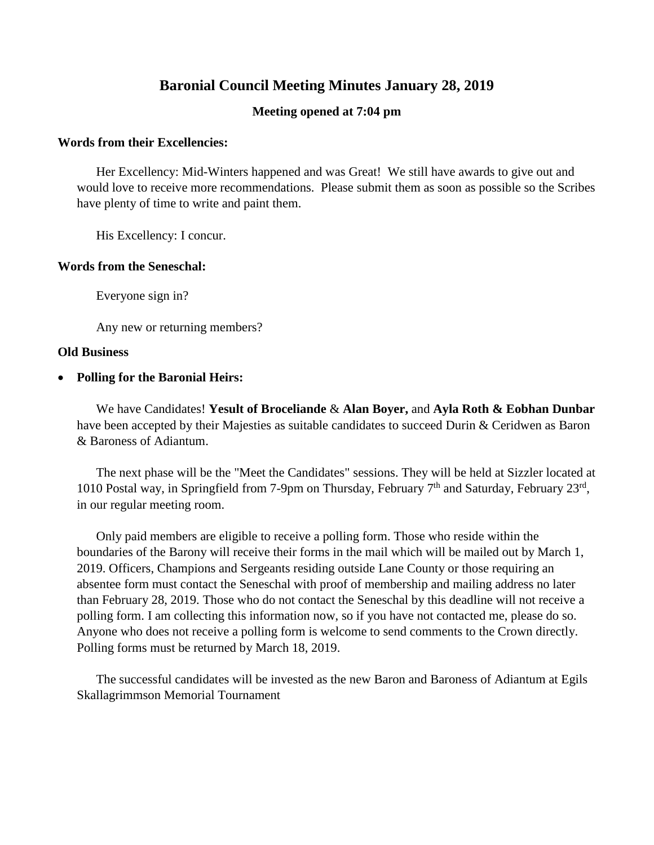# **Baronial Council Meeting Minutes January 28, 2019**

# **Meeting opened at 7:04 pm**

#### **Words from their Excellencies:**

Her Excellency: Mid-Winters happened and was Great! We still have awards to give out and would love to receive more recommendations. Please submit them as soon as possible so the Scribes have plenty of time to write and paint them.

His Excellency: I concur.

# **Words from the Seneschal:**

Everyone sign in?

Any new or returning members?

#### **Old Business**

**Polling for the Baronial Heirs:**

We have Candidates! **Yesult of Broceliande** & **Alan Boyer,** and **Ayla Roth & Eobhan Dunbar** have been accepted by their Majesties as suitable candidates to succeed Durin & Ceridwen as Baron & Baroness of Adiantum.

The next phase will be the "Meet the Candidates" sessions. They will be held at Sizzler located at 1010 Postal way, in Springfield from 7-9pm on Thursday, February 7<sup>th</sup> and Saturday, February 23<sup>rd</sup>, in our regular meeting room.

Only paid members are eligible to receive a polling form. Those who reside within the boundaries of the Barony will receive their forms in the mail which will be mailed out by March 1, 2019. Officers, Champions and Sergeants residing outside Lane County or those requiring an absentee form must contact the Seneschal with proof of membership and mailing address no later than February 28, 2019. Those who do not contact the Seneschal by this deadline will not receive a polling form. I am collecting this information now, so if you have not contacted me, please do so. Anyone who does not receive a polling form is welcome to send comments to the Crown directly. Polling forms must be returned by March 18, 2019.

The successful candidates will be invested as the new Baron and Baroness of Adiantum at Egils Skallagrimmson Memorial Tournament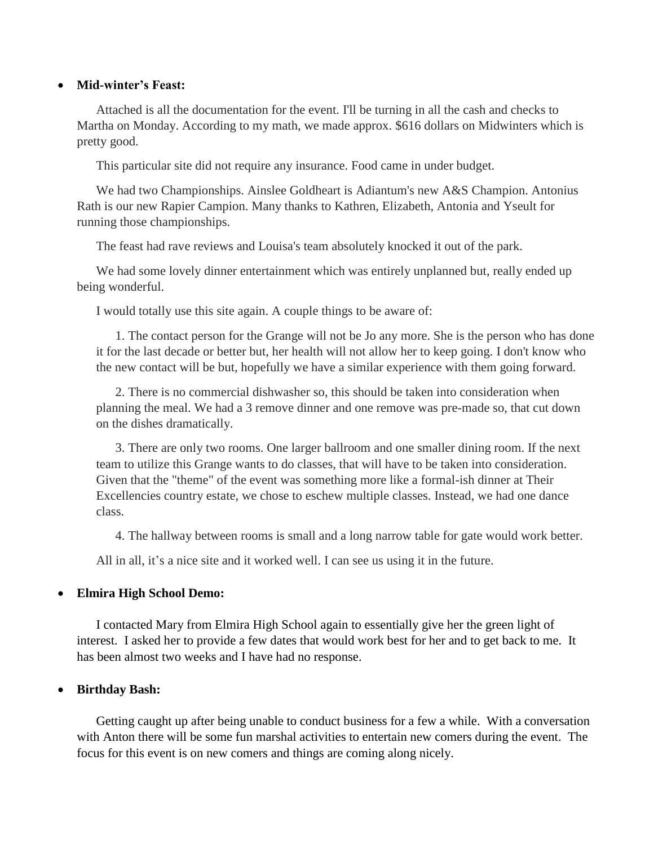#### **Mid-winter's Feast:**

Attached is all the documentation for the event. I'll be turning in all the cash and checks to Martha on Monday. According to my math, we made approx. \$616 dollars on Midwinters which is pretty good.

This particular site did not require any insurance. Food came in under budget.

We had two Championships. Ainslee Goldheart is Adiantum's new A&S Champion. Antonius Rath is our new Rapier Campion. Many thanks to Kathren, Elizabeth, Antonia and Yseult for running those championships.

The feast had rave reviews and Louisa's team absolutely knocked it out of the park.

We had some lovely dinner entertainment which was entirely unplanned but, really ended up being wonderful.

I would totally use this site again. A couple things to be aware of:

1. The contact person for the Grange will not be Jo any more. She is the person who has done it for the last decade or better but, her health will not allow her to keep going. I don't know who the new contact will be but, hopefully we have a similar experience with them going forward.

2. There is no commercial dishwasher so, this should be taken into consideration when planning the meal. We had a 3 remove dinner and one remove was pre-made so, that cut down on the dishes dramatically.

3. There are only two rooms. One larger ballroom and one smaller dining room. If the next team to utilize this Grange wants to do classes, that will have to be taken into consideration. Given that the "theme" of the event was something more like a formal-ish dinner at Their Excellencies country estate, we chose to eschew multiple classes. Instead, we had one dance class.

4. The hallway between rooms is small and a long narrow table for gate would work better.

All in all, it's a nice site and it worked well. I can see us using it in the future.

# **Elmira High School Demo:**

I contacted Mary from Elmira High School again to essentially give her the green light of interest. I asked her to provide a few dates that would work best for her and to get back to me. It has been almost two weeks and I have had no response.

# **Birthday Bash:**

Getting caught up after being unable to conduct business for a few a while. With a conversation with Anton there will be some fun marshal activities to entertain new comers during the event. The focus for this event is on new comers and things are coming along nicely.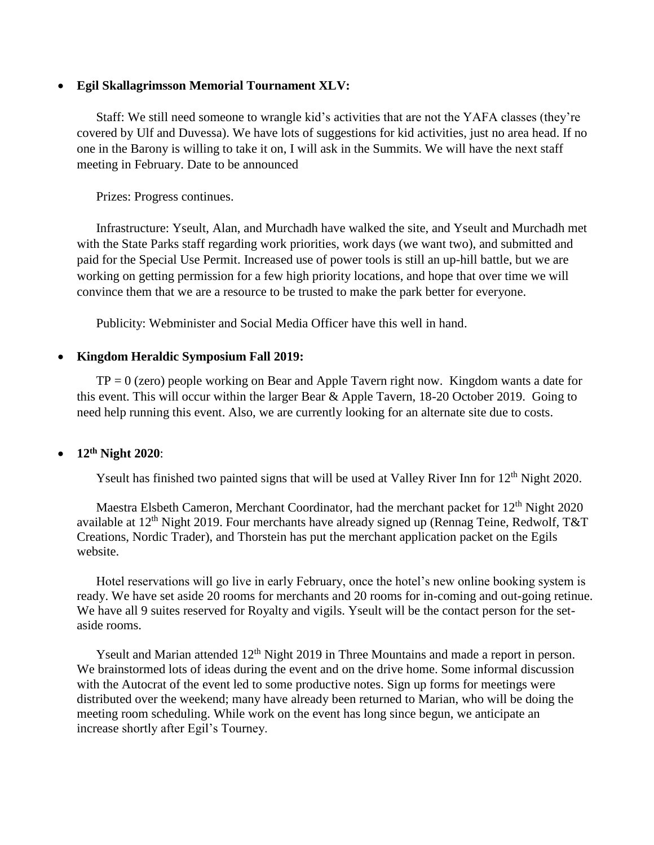#### **Egil Skallagrimsson Memorial Tournament XLV:**

Staff: We still need someone to wrangle kid's activities that are not the YAFA classes (they're covered by Ulf and Duvessa). We have lots of suggestions for kid activities, just no area head. If no one in the Barony is willing to take it on, I will ask in the Summits. We will have the next staff meeting in February. Date to be announced

Prizes: Progress continues.

Infrastructure: Yseult, Alan, and Murchadh have walked the site, and Yseult and Murchadh met with the State Parks staff regarding work priorities, work days (we want two), and submitted and paid for the Special Use Permit. Increased use of power tools is still an up-hill battle, but we are working on getting permission for a few high priority locations, and hope that over time we will convince them that we are a resource to be trusted to make the park better for everyone.

Publicity: Webminister and Social Media Officer have this well in hand.

# **Kingdom Heraldic Symposium Fall 2019:**

 $TP = 0$  (zero) people working on Bear and Apple Tavern right now. Kingdom wants a date for this event. This will occur within the larger Bear & Apple Tavern, 18-20 October 2019. Going to need help running this event. Also, we are currently looking for an alternate site due to costs.

# **12th Night 2020**:

Yseult has finished two painted signs that will be used at Valley River Inn for  $12<sup>th</sup>$  Night 2020.

Maestra Elsbeth Cameron, Merchant Coordinator, had the merchant packet for 12<sup>th</sup> Night 2020 available at  $12<sup>th</sup>$  Night 2019. Four merchants have already signed up (Rennag Teine, Redwolf, T&T Creations, Nordic Trader), and Thorstein has put the merchant application packet on the Egils website.

Hotel reservations will go live in early February, once the hotel's new online booking system is ready. We have set aside 20 rooms for merchants and 20 rooms for in-coming and out-going retinue. We have all 9 suites reserved for Royalty and vigils. Yseult will be the contact person for the setaside rooms.

Yseult and Marian attended 12<sup>th</sup> Night 2019 in Three Mountains and made a report in person. We brainstormed lots of ideas during the event and on the drive home. Some informal discussion with the Autocrat of the event led to some productive notes. Sign up forms for meetings were distributed over the weekend; many have already been returned to Marian, who will be doing the meeting room scheduling. While work on the event has long since begun, we anticipate an increase shortly after Egil's Tourney.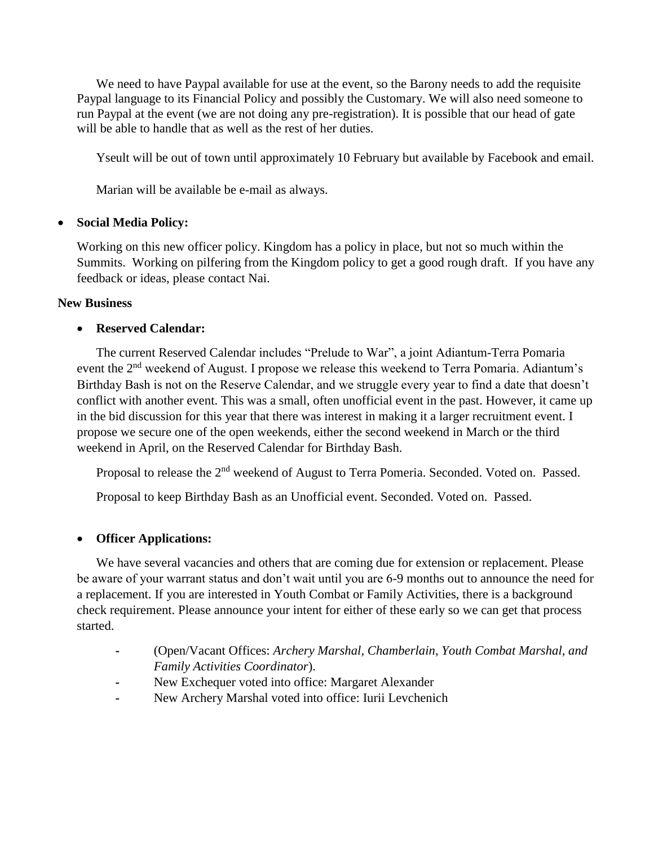We need to have Paypal available for use at the event, so the Barony needs to add the requisite Paypal language to its Financial Policy and possibly the Customary. We will also need someone to run Paypal at the event (we are not doing any pre-registration). It is possible that our head of gate will be able to handle that as well as the rest of her duties.

Yseult will be out of town until approximately 10 February but available by Facebook and email.

Marian will be available be e-mail as always.

# **Social Media Policy:**

Working on this new officer policy. Kingdom has a policy in place, but not so much within the Summits. Working on pilfering from the Kingdom policy to get a good rough draft. If you have any feedback or ideas, please contact Nai.

# **New Business**

# **Reserved Calendar:**

The current Reserved Calendar includes "Prelude to War", a joint Adiantum-Terra Pomaria event the 2<sup>nd</sup> weekend of August. I propose we release this weekend to Terra Pomaria. Adiantum's Birthday Bash is not on the Reserve Calendar, and we struggle every year to find a date that doesn't conflict with another event. This was a small, often unofficial event in the past. However, it came up in the bid discussion for this year that there was interest in making it a larger recruitment event. I propose we secure one of the open weekends, either the second weekend in March or the third weekend in April, on the Reserved Calendar for Birthday Bash.

Proposal to release the 2<sup>nd</sup> weekend of August to Terra Pomeria. Seconded. Voted on. Passed.

Proposal to keep Birthday Bash as an Unofficial event. Seconded. Voted on. Passed.

# **Officer Applications:**

We have several vacancies and others that are coming due for extension or replacement. Please be aware of your warrant status and don't wait until you are 6-9 months out to announce the need for a replacement. If you are interested in Youth Combat or Family Activities, there is a background check requirement. Please announce your intent for either of these early so we can get that process started.

- **-** (Open/Vacant Offices: *Archery Marshal, Chamberlain*, *Youth Combat Marshal, and Family Activities Coordinator*).
- **-** New Exchequer voted into office: Margaret Alexander
- **-** New Archery Marshal voted into office: Iurii Levchenich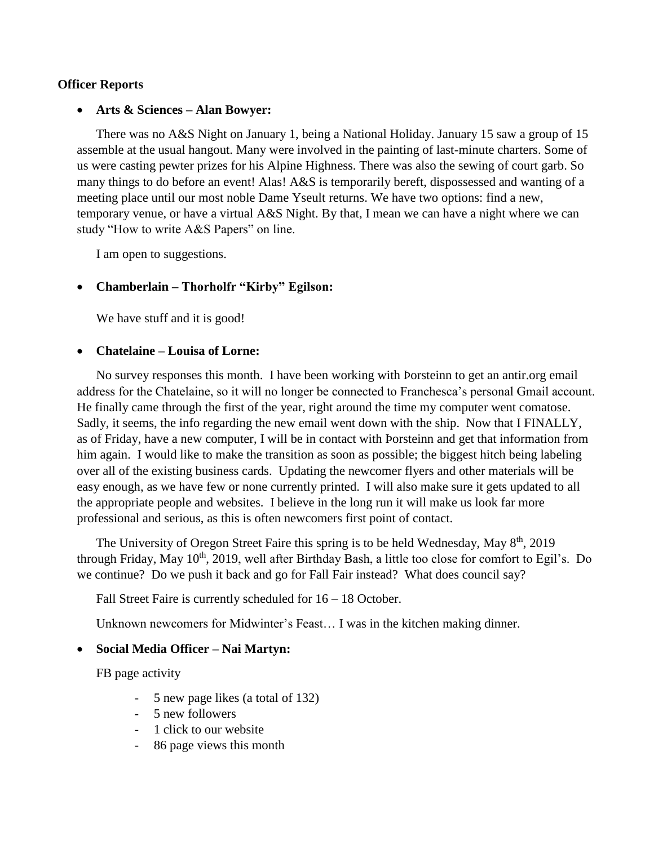# **Officer Reports**

#### **Arts & Sciences – Alan Bowyer:**

There was no A&S Night on January 1, being a National Holiday. January 15 saw a group of 15 assemble at the usual hangout. Many were involved in the painting of last-minute charters. Some of us were casting pewter prizes for his Alpine Highness. There was also the sewing of court garb. So many things to do before an event! Alas! A&S is temporarily bereft, dispossessed and wanting of a meeting place until our most noble Dame Yseult returns. We have two options: find a new, temporary venue, or have a virtual A&S Night. By that, I mean we can have a night where we can study "How to write A&S Papers" on line.

I am open to suggestions.

# **Chamberlain – Thorholfr "Kirby" Egilson:**

We have stuff and it is good!

#### **Chatelaine – Louisa of Lorne:**

No survey responses this month. I have been working with Þorsteinn to get an antir.org email address for the Chatelaine, so it will no longer be connected to Franchesca's personal Gmail account. He finally came through the first of the year, right around the time my computer went comatose. Sadly, it seems, the info regarding the new email went down with the ship. Now that I FINALLY, as of Friday, have a new computer, I will be in contact with Þorsteinn and get that information from him again. I would like to make the transition as soon as possible; the biggest hitch being labeling over all of the existing business cards. Updating the newcomer flyers and other materials will be easy enough, as we have few or none currently printed. I will also make sure it gets updated to all the appropriate people and websites. I believe in the long run it will make us look far more professional and serious, as this is often newcomers first point of contact.

The University of Oregon Street Faire this spring is to be held Wednesday, May 8<sup>th</sup>, 2019 through Friday, May 10<sup>th</sup>, 2019, well after Birthday Bash, a little too close for comfort to Egil's. Do we continue? Do we push it back and go for Fall Fair instead? What does council say?

Fall Street Faire is currently scheduled for  $16 - 18$  October.

Unknown newcomers for Midwinter's Feast… I was in the kitchen making dinner.

#### **Social Media Officer – Nai Martyn:**

FB page activity

- 5 new page likes (a total of 132)
- 5 new followers
- 1 click to our website
- 86 page views this month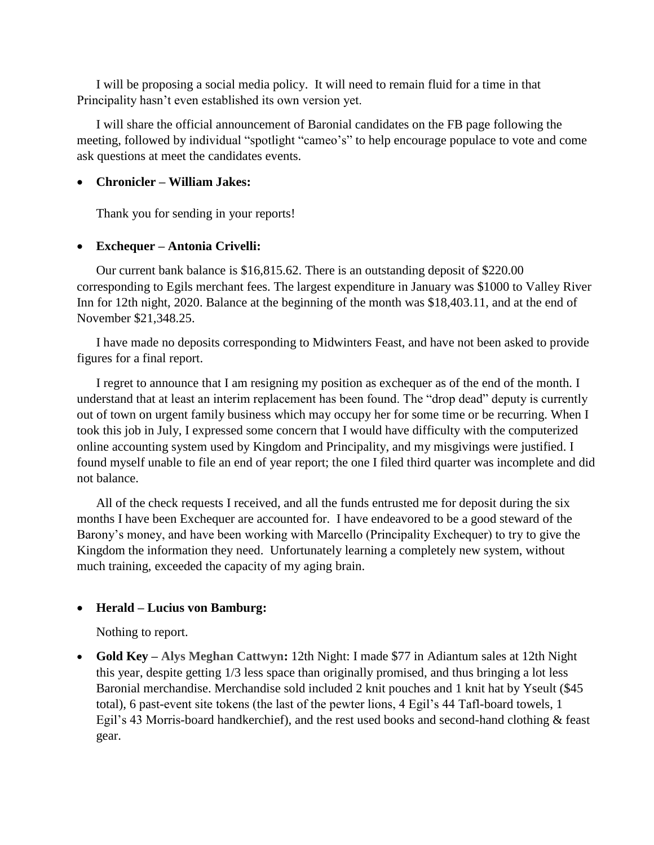I will be proposing a social media policy. It will need to remain fluid for a time in that Principality hasn't even established its own version yet.

I will share the official announcement of Baronial candidates on the FB page following the meeting, followed by individual "spotlight "cameo's" to help encourage populace to vote and come ask questions at meet the candidates events.

# **Chronicler – William Jakes:**

Thank you for sending in your reports!

# **Exchequer – Antonia Crivelli:**

Our current bank balance is \$16,815.62. There is an outstanding deposit of \$220.00 corresponding to Egils merchant fees. The largest expenditure in January was \$1000 to Valley River Inn for 12th night, 2020. Balance at the beginning of the month was \$18,403.11, and at the end of November \$21,348.25.

I have made no deposits corresponding to Midwinters Feast, and have not been asked to provide figures for a final report.

I regret to announce that I am resigning my position as exchequer as of the end of the month. I understand that at least an interim replacement has been found. The "drop dead" deputy is currently out of town on urgent family business which may occupy her for some time or be recurring. When I took this job in July, I expressed some concern that I would have difficulty with the computerized online accounting system used by Kingdom and Principality, and my misgivings were justified. I found myself unable to file an end of year report; the one I filed third quarter was incomplete and did not balance.

All of the check requests I received, and all the funds entrusted me for deposit during the six months I have been Exchequer are accounted for. I have endeavored to be a good steward of the Barony's money, and have been working with Marcello (Principality Exchequer) to try to give the Kingdom the information they need. Unfortunately learning a completely new system, without much training, exceeded the capacity of my aging brain.

# **Herald – Lucius von Bamburg:**

Nothing to report.

 **Gold Key – Alys Meghan Cattwyn:** 12th Night: I made \$77 in Adiantum sales at 12th Night this year, despite getting 1/3 less space than originally promised, and thus bringing a lot less Baronial merchandise. Merchandise sold included 2 knit pouches and 1 knit hat by Yseult (\$45 total), 6 past-event site tokens (the last of the pewter lions, 4 Egil's 44 Tafl-board towels, 1 Egil's 43 Morris-board handkerchief), and the rest used books and second-hand clothing & feast gear.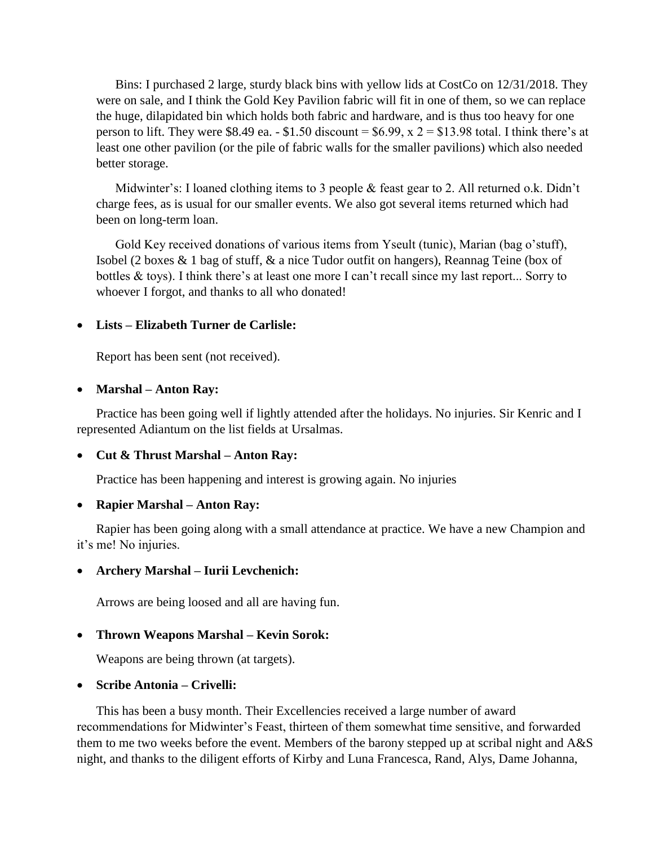Bins: I purchased 2 large, sturdy black bins with yellow lids at CostCo on 12/31/2018. They were on sale, and I think the Gold Key Pavilion fabric will fit in one of them, so we can replace the huge, dilapidated bin which holds both fabric and hardware, and is thus too heavy for one person to lift. They were \$8.49 ea. - \$1.50 discount =  $$6.99$ , x  $2 = $13.98$  total. I think there's at least one other pavilion (or the pile of fabric walls for the smaller pavilions) which also needed better storage.

Midwinter's: I loaned clothing items to 3 people & feast gear to 2. All returned o.k. Didn't charge fees, as is usual for our smaller events. We also got several items returned which had been on long-term loan.

Gold Key received donations of various items from Yseult (tunic), Marian (bag o'stuff), Isobel (2 boxes & 1 bag of stuff, & a nice Tudor outfit on hangers), Reannag Teine (box of bottles & toys). I think there's at least one more I can't recall since my last report... Sorry to whoever I forgot, and thanks to all who donated!

#### **Lists – Elizabeth Turner de Carlisle:**

Report has been sent (not received).

#### **Marshal – Anton Ray:**

Practice has been going well if lightly attended after the holidays. No injuries. Sir Kenric and I represented Adiantum on the list fields at Ursalmas.

# **Cut & Thrust Marshal – Anton Ray:**

Practice has been happening and interest is growing again. No injuries

#### **Rapier Marshal – Anton Ray:**

Rapier has been going along with a small attendance at practice. We have a new Champion and it's me! No injuries.

# **Archery Marshal – Iurii Levchenich:**

Arrows are being loosed and all are having fun.

# **Thrown Weapons Marshal – Kevin Sorok:**

Weapons are being thrown (at targets).

# **Scribe Antonia – Crivelli:**

This has been a busy month. Their Excellencies received a large number of award recommendations for Midwinter's Feast, thirteen of them somewhat time sensitive, and forwarded them to me two weeks before the event. Members of the barony stepped up at scribal night and A&S night, and thanks to the diligent efforts of Kirby and Luna Francesca, Rand, Alys, Dame Johanna,